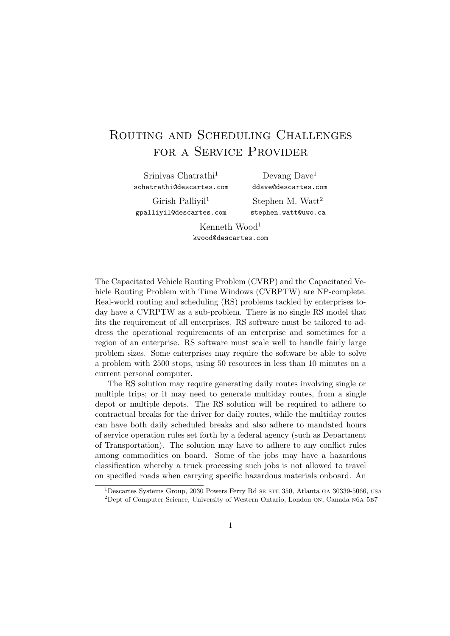## Routing and Scheduling Challenges for a Service Provider

Srinivas Chatrathi<sup>1</sup> schatrathi@descartes.com

Devang Dave<sup>1</sup> ddave@descartes.com

Girish Palliyil<sup>1</sup> gpalliyil@descartes.com

Stephen M. Watt<sup>2</sup> stephen.watt@uwo.ca

Kenneth Wood<sup>1</sup> kwood@descartes.com

The Capacitated Vehicle Routing Problem (CVRP) and the Capacitated Vehicle Routing Problem with Time Windows (CVRPTW) are NP-complete. Real-world routing and scheduling (RS) problems tackled by enterprises today have a CVRPTW as a sub-problem. There is no single RS model that fits the requirement of all enterprises. RS software must be tailored to address the operational requirements of an enterprise and sometimes for a region of an enterprise. RS software must scale well to handle fairly large problem sizes. Some enterprises may require the software be able to solve a problem with 2500 stops, using 50 resources in less than 10 minutes on a current personal computer.

The RS solution may require generating daily routes involving single or multiple trips; or it may need to generate multiday routes, from a single depot or multiple depots. The RS solution will be required to adhere to contractual breaks for the driver for daily routes, while the multiday routes can have both daily scheduled breaks and also adhere to mandated hours of service operation rules set forth by a federal agency (such as Department of Transportation). The solution may have to adhere to any conflict rules among commodities on board. Some of the jobs may have a hazardous classification whereby a truck processing such jobs is not allowed to travel on specified roads when carrying specific hazardous materials onboard. An

 $1$ Descartes Systems Group, 2030 Powers Ferry Rd se  $SSE$  350, Atlanta ga 30339-5066, usa <sup>2</sup>Dept of Computer Science, University of Western Ontario, London on, Canada n6a 5b7